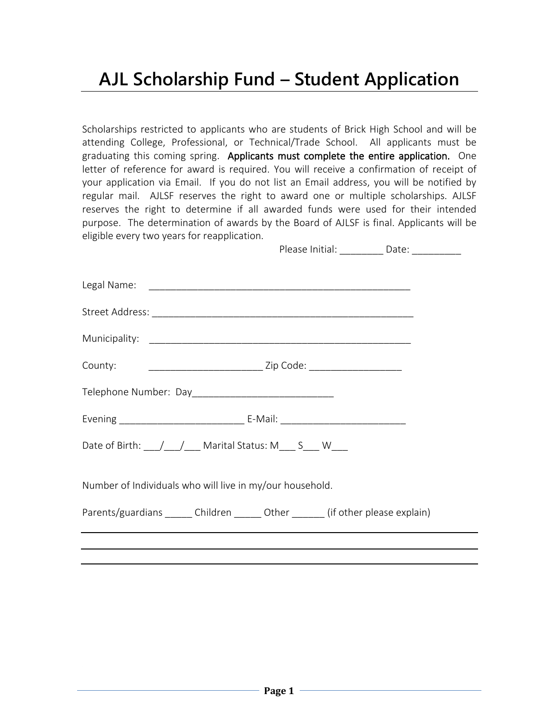## **AJL Scholarship Fund – Student Application**

Scholarships restricted to applicants who are students of Brick High School and will be attending College, Professional, or Technical/Trade School. All applicants must be graduating this coming spring. Applicants must complete the entire application. One letter of reference for award is required. You will receive a confirmation of receipt of your application via Email. If you do not list an Email address, you will be notified by regular mail. AJLSF reserves the right to award one or multiple scholarships. AJLSF reserves the right to determine if all awarded funds were used for their intended purpose. The determination of awards by the Board of AJLSF is final. Applicants will be eligible every two years for reapplication.

Please Initial: **Date:** Date:

| County:                                                                            |  |  |
|------------------------------------------------------------------------------------|--|--|
|                                                                                    |  |  |
|                                                                                    |  |  |
| Date of Birth: \___/ \___/ \___ Marital Status: M___ S___ W___                     |  |  |
| Number of Individuals who will live in my/our household.                           |  |  |
| Parents/guardians _______ Children _______ Other _______ (if other please explain) |  |  |
|                                                                                    |  |  |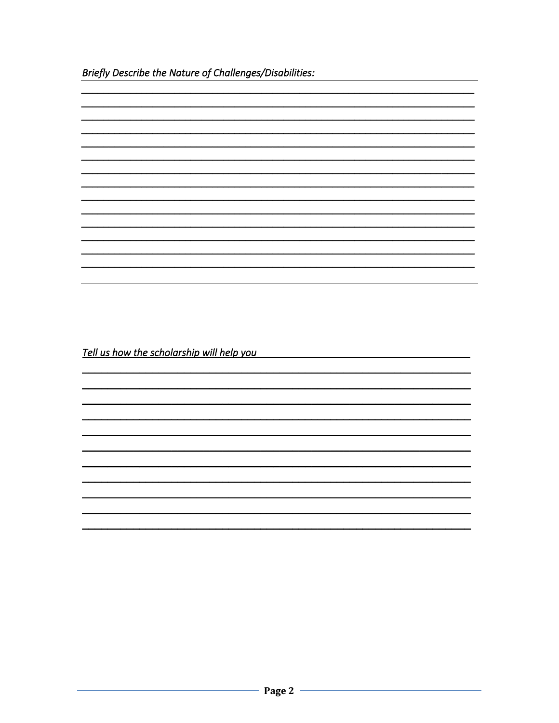Briefly Describe the Nature of Challenges/Disabilities:

| Tell us how the scholarship will help you |  |
|-------------------------------------------|--|
|                                           |  |
|                                           |  |
|                                           |  |
|                                           |  |
|                                           |  |
|                                           |  |
|                                           |  |
|                                           |  |
|                                           |  |
|                                           |  |
|                                           |  |
|                                           |  |
|                                           |  |
|                                           |  |
|                                           |  |
|                                           |  |
|                                           |  |
|                                           |  |
|                                           |  |
|                                           |  |
|                                           |  |
|                                           |  |
|                                           |  |
|                                           |  |